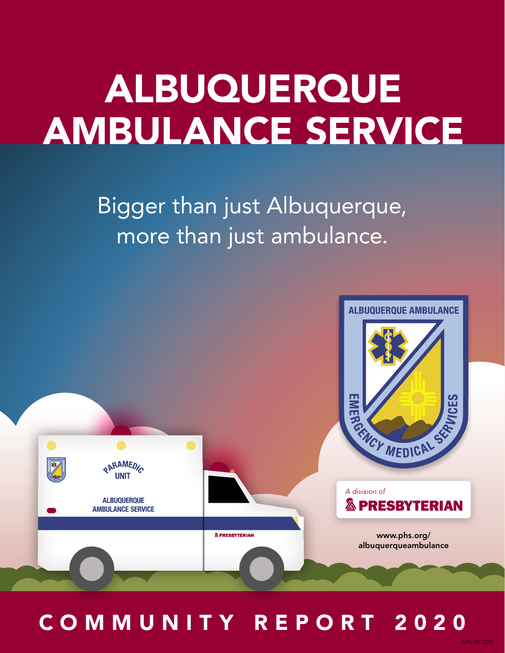# ALBUQUERQUE AMBULANCE SERVICE

Bigger than just Albuquerque, more than just ambulance.



COMMUNITY REPORT 2020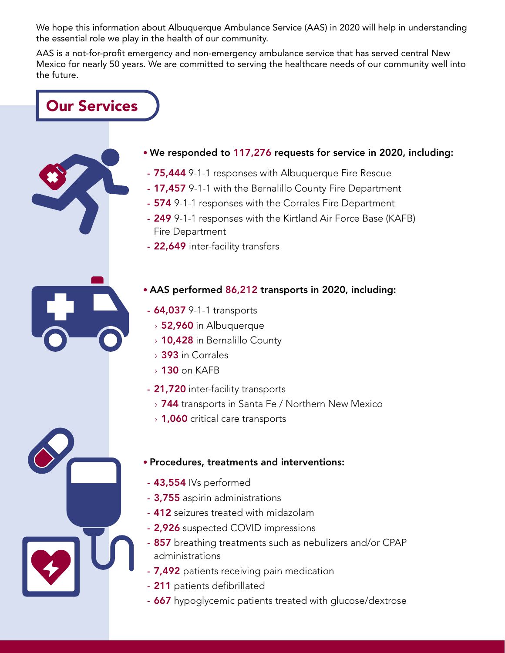We hope this information about Albuquerque Ambulance Service (AAS) in 2020 will help in understanding the essential role we play in the health of our community.

AAS is a not-for-profit emergency and non-emergency ambulance service that has served central New Mexico for nearly 50 years. We are committed to serving the healthcare needs of our community well into the future.

Our Services

- We responded to 117,276 requests for service in 2020, including:
	- 75,444 9-1-1 responses with Albuquerque Fire Rescue
	- 17,457 9-1-1 with the Bernalillo County Fire Department
	- 574 9-1-1 responses with the Corrales Fire Department
	- 249 9-1-1 responses with the Kirtland Air Force Base (KAFB) Fire Department
	- 22,649 inter-facility transfers

#### • AAS performed 86,212 transports in 2020, including:

- 64,037 9-1-1 transports
	- › 52,960 in Albuquerque
	- › 10,428 in Bernalillo County
	- › 393 in Corrales
	- › 130 on KAFB
- 21,720 inter-facility transports
	- **744** transports in Santa Fe / Northern New Mexico
	- > 1,060 critical care transports

#### • Procedures, treatments and interventions:

- 43,554 IVs performed
- 3,755 aspirin administrations
- 412 seizures treated with midazolam
- 2,926 suspected COVID impressions
- 857 breathing treatments such as nebulizers and/or CPAP administrations
- 7,492 patients receiving pain medication
- 211 patients defibrillated
- 667 hypoglycemic patients treated with glucose/dextrose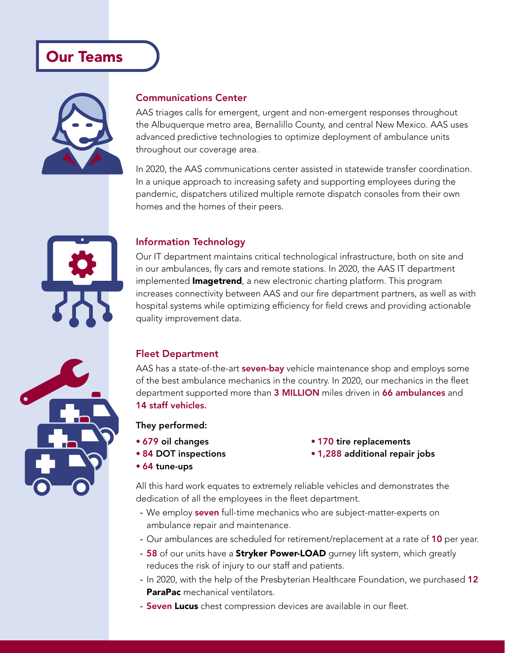## Our Teams



#### Communications Center

AAS triages calls for emergent, urgent and non-emergent responses throughout the Albuquerque metro area, Bernalillo County, and central New Mexico. AAS uses advanced predictive technologies to optimize deployment of ambulance units throughout our coverage area.

In 2020, the AAS communications center assisted in statewide transfer coordination. In a unique approach to increasing safety and supporting employees during the pandemic, dispatchers utilized multiple remote dispatch consoles from their own homes and the homes of their peers.

#### Information Technology

Our IT department maintains critical technological infrastructure, both on site and in our ambulances, fly cars and remote stations. In 2020, the AAS IT department implemented **Imagetrend**, a new electronic charting platform. This program increases connectivity between AAS and our fire department partners, as well as with hospital systems while optimizing efficiency for field crews and providing actionable quality improvement data.

#### Fleet Department

AAS has a state-of-the-art **seven-bay** vehicle maintenance shop and employs some of the best ambulance mechanics in the country. In 2020, our mechanics in the fleet department supported more than 3 MILLION miles driven in 66 ambulances and 14 staff vehicles.

They performed:

- 679 oil changes
- 84 DOT inspections
- 64 tune-ups
- 170 tire replacements
- 1,288 additional repair jobs

All this hard work equates to extremely reliable vehicles and demonstrates the dedication of all the employees in the fleet department.

- We employ seven full-time mechanics who are subject-matter-experts on ambulance repair and maintenance.
- Our ambulances are scheduled for retirement/replacement at a rate of 10 per year.
- 58 of our units have a **Stryker Power-LOAD** gurney lift system, which greatly reduces the risk of injury to our staff and patients.
- In 2020, with the help of the Presbyterian Healthcare Foundation, we purchased 12 ParaPac mechanical ventilators.
- Seven Lucus chest compression devices are available in our fleet.